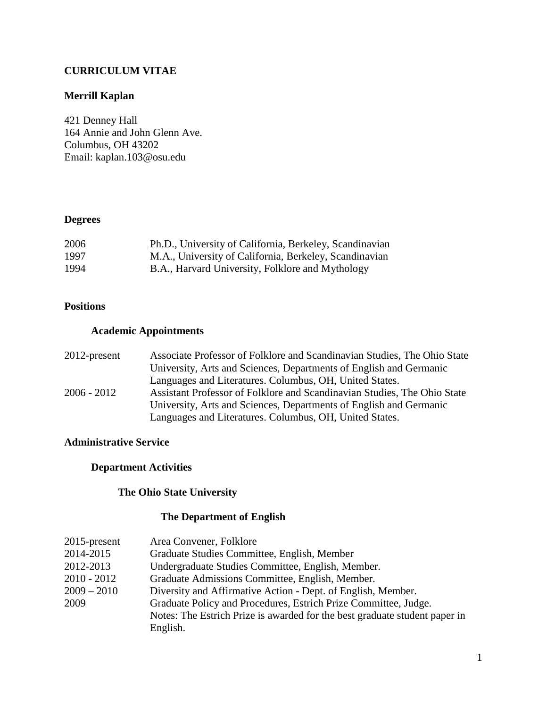# **CURRICULUM VITAE**

# **Merrill Kaplan**

421 Denney Hall 164 Annie and John Glenn Ave. Columbus, OH 43202 Email: kaplan.103@osu.edu

# **Degrees**

| 2006 | Ph.D., University of California, Berkeley, Scandinavian |
|------|---------------------------------------------------------|
| 1997 | M.A., University of California, Berkeley, Scandinavian  |
| 1994 | B.A., Harvard University, Folklore and Mythology        |

### **Positions**

### **Academic Appointments**

| $2012$ -present | Associate Professor of Folklore and Scandinavian Studies, The Ohio State |
|-----------------|--------------------------------------------------------------------------|
|                 | University, Arts and Sciences, Departments of English and Germanic       |
|                 | Languages and Literatures. Columbus, OH, United States.                  |
| $2006 - 2012$   | Assistant Professor of Folklore and Scandinavian Studies, The Ohio State |
|                 | University, Arts and Sciences, Departments of English and Germanic       |
|                 | Languages and Literatures. Columbus, OH, United States.                  |

#### **Administrative Service**

# **Department Activities**

### **The Ohio State University**

### **The Department of English**

| $2015$ -present | Area Convener, Folklore                                                    |
|-----------------|----------------------------------------------------------------------------|
| 2014-2015       | Graduate Studies Committee, English, Member                                |
| 2012-2013       | Undergraduate Studies Committee, English, Member.                          |
| $2010 - 2012$   | Graduate Admissions Committee, English, Member.                            |
| $2009 - 2010$   | Diversity and Affirmative Action - Dept. of English, Member.               |
| 2009            | Graduate Policy and Procedures, Estrich Prize Committee, Judge.            |
|                 | Notes: The Estrich Prize is awarded for the best graduate student paper in |
|                 | English.                                                                   |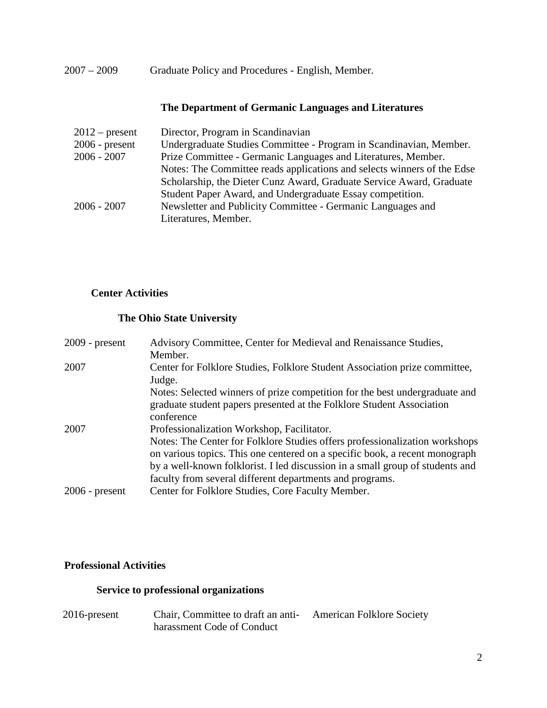2007 – 2009 Graduate Policy and Procedures - English, Member.

### **The Department of Germanic Languages and Literatures**

| Director, Program in Scandinavian                                       |
|-------------------------------------------------------------------------|
| Undergraduate Studies Committee - Program in Scandinavian, Member.      |
| Prize Committee - Germanic Languages and Literatures, Member.           |
| Notes: The Committee reads applications and selects winners of the Edse |
| Scholarship, the Dieter Cunz Award, Graduate Service Award, Graduate    |
| Student Paper Award, and Undergraduate Essay competition.               |
| Newsletter and Publicity Committee - Germanic Languages and             |
| Literatures, Member.                                                    |
|                                                                         |

## **Center Activities**

# **The Ohio State University**

| $2009$ - present | Advisory Committee, Center for Medieval and Renaissance Studies,<br>Member.                                                                                                                                                                                                                                                                           |
|------------------|-------------------------------------------------------------------------------------------------------------------------------------------------------------------------------------------------------------------------------------------------------------------------------------------------------------------------------------------------------|
| 2007             | Center for Folklore Studies, Folklore Student Association prize committee,<br>Judge.                                                                                                                                                                                                                                                                  |
|                  | Notes: Selected winners of prize competition for the best undergraduate and<br>graduate student papers presented at the Folklore Student Association<br>conference                                                                                                                                                                                    |
| 2007             | Professionalization Workshop, Facilitator.<br>Notes: The Center for Folklore Studies offers professionalization workshops<br>on various topics. This one centered on a specific book, a recent monograph<br>by a well-known folklorist. I led discussion in a small group of students and<br>faculty from several different departments and programs. |
| $2006$ - present | Center for Folklore Studies, Core Faculty Member.                                                                                                                                                                                                                                                                                                     |

#### **Professional Activities**

### **Service to professional organizations**

2016-present Chair, Committee to draft an antiharassment Code of Conduct American Folklore Society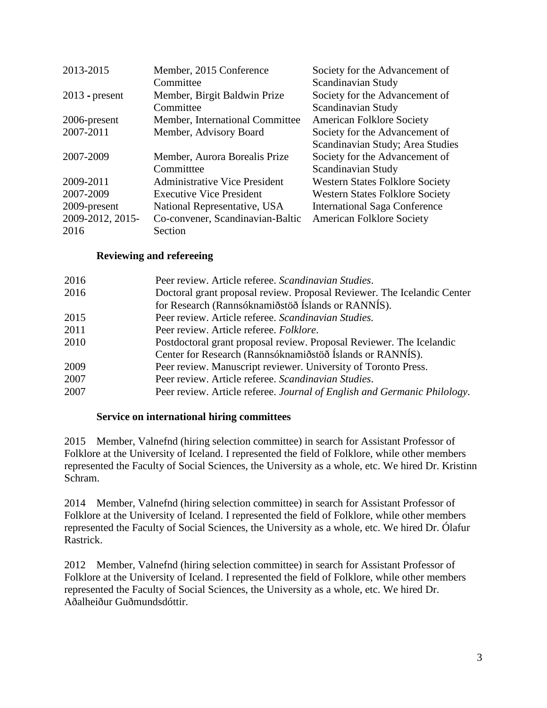| 2013-2015        | Member, 2015 Conference              | Society for the Advancement of         |
|------------------|--------------------------------------|----------------------------------------|
|                  | Committee                            | Scandinavian Study                     |
| $2013$ - present | Member, Birgit Baldwin Prize         | Society for the Advancement of         |
|                  | Committee                            | Scandinavian Study                     |
| 2006-present     | Member, International Committee      | <b>American Folklore Society</b>       |
| 2007-2011        | Member, Advisory Board               | Society for the Advancement of         |
|                  |                                      | Scandinavian Study; Area Studies       |
| 2007-2009        | Member, Aurora Borealis Prize        | Society for the Advancement of         |
|                  | Committee                            | Scandinavian Study                     |
| 2009-2011        | <b>Administrative Vice President</b> | <b>Western States Folklore Society</b> |
| 2007-2009        | <b>Executive Vice President</b>      | <b>Western States Folklore Society</b> |
| 2009-present     | National Representative, USA         | <b>International Saga Conference</b>   |
| 2009-2012, 2015- | Co-convener, Scandinavian-Baltic     | <b>American Folklore Society</b>       |
| 2016             | Section                              |                                        |

### **Reviewing and refereeing**

| 2016 | Peer review. Article referee. Scandinavian Studies.                      |
|------|--------------------------------------------------------------------------|
| 2016 | Doctoral grant proposal review. Proposal Reviewer. The Icelandic Center  |
|      | for Research (Rannsóknamiðstöð Íslands or RANNÍS).                       |
| 2015 | Peer review. Article referee. Scandinavian Studies.                      |
| 2011 | Peer review. Article referee. Folklore.                                  |
| 2010 | Postdoctoral grant proposal review. Proposal Reviewer. The Icelandic     |
|      | Center for Research (Rannsóknamiðstöð Íslands or RANNÍS).                |
| 2009 | Peer review. Manuscript reviewer. University of Toronto Press.           |
| 2007 | Peer review. Article referee. Scandinavian Studies.                      |
| 2007 | Peer review. Article referee. Journal of English and Germanic Philology. |

#### **Service on international hiring committees**

2015 Member, Valnefnd (hiring selection committee) in search for Assistant Professor of Folklore at the University of Iceland. I represented the field of Folklore, while other members represented the Faculty of Social Sciences, the University as a whole, etc. We hired Dr. Kristinn Schram.

2014 Member, Valnefnd (hiring selection committee) in search for Assistant Professor of Folklore at the University of Iceland. I represented the field of Folklore, while other members represented the Faculty of Social Sciences, the University as a whole, etc. We hired Dr. Ólafur Rastrick.

2012 Member, Valnefnd (hiring selection committee) in search for Assistant Professor of Folklore at the University of Iceland. I represented the field of Folklore, while other members represented the Faculty of Social Sciences, the University as a whole, etc. We hired Dr. Aðalheiður Guðmundsdóttir.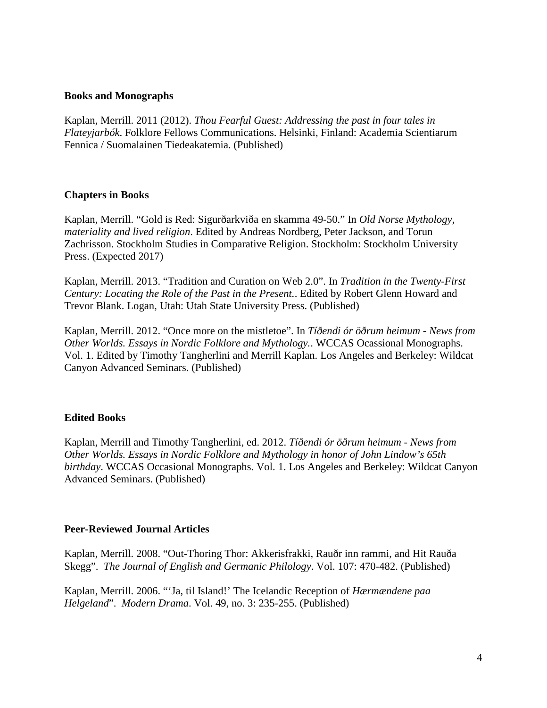#### **Books and Monographs**

Kaplan, Merrill. 2011 (2012). *Thou Fearful Guest: Addressing the past in four tales in Flateyjarbók*. Folklore Fellows Communications. Helsinki, Finland: Academia Scientiarum Fennica / Suomalainen Tiedeakatemia. (Published)

#### **Chapters in Books**

Kaplan, Merrill. "Gold is Red: Sigurðarkviða en skamma 49-50." In *Old Norse Mythology, materiality and lived religion*. Edited by Andreas Nordberg, Peter Jackson, and Torun Zachrisson. Stockholm Studies in Comparative Religion. Stockholm: Stockholm University Press. (Expected 2017)

Kaplan, Merrill. 2013. "Tradition and Curation on Web 2.0". In *Tradition in the Twenty-First Century: Locating the Role of the Past in the Present.*. Edited by Robert Glenn Howard and Trevor Blank. Logan, Utah: Utah State University Press. (Published)

Kaplan, Merrill. 2012. "Once more on the mistletoe". In *Tíðendi ór öðrum heimum - News from Other Worlds. Essays in Nordic Folklore and Mythology.*. WCCAS Ocassional Monographs. Vol. 1. Edited by Timothy Tangherlini and Merrill Kaplan. Los Angeles and Berkeley: Wildcat Canyon Advanced Seminars. (Published)

#### **Edited Books**

Kaplan, Merrill and Timothy Tangherlini, ed. 2012. *Tíðendi ór öðrum heimum - News from Other Worlds. Essays in Nordic Folklore and Mythology in honor of John Lindow's 65th birthday*. WCCAS Occasional Monographs. Vol. 1. Los Angeles and Berkeley: Wildcat Canyon Advanced Seminars. (Published)

#### **Peer-Reviewed Journal Articles**

Kaplan, Merrill. 2008. "Out-Thoring Thor: Akkerisfrakki, Rauðr inn rammi, and Hit Rauða Skegg". *The Journal of English and Germanic Philology*. Vol. 107: 470-482. (Published)

Kaplan, Merrill. 2006. "'Ja, til Island!' The Icelandic Reception of *Hærmændene paa Helgeland*". *Modern Drama*. Vol. 49, no. 3: 235-255. (Published)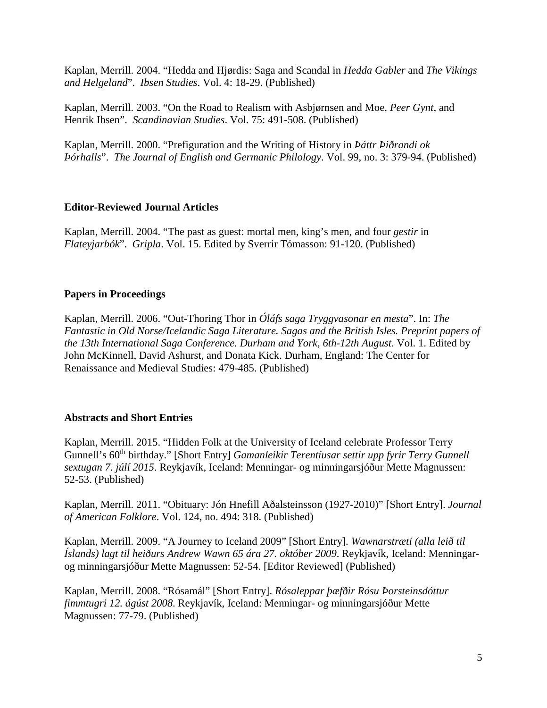Kaplan, Merrill. 2004. "Hedda and Hjørdis: Saga and Scandal in *Hedda Gabler* and *The Vikings and Helgeland*". *Ibsen Studies*. Vol. 4: 18-29. (Published)

Kaplan, Merrill. 2003. "On the Road to Realism with Asbjørnsen and Moe, *Peer Gynt*, and Henrik Ibsen". *Scandinavian Studies*. Vol. 75: 491-508. (Published)

Kaplan, Merrill. 2000. "Prefiguration and the Writing of History in *Þáttr Þiðrandi ok Þórhalls*". *The Journal of English and Germanic Philology*. Vol. 99, no. 3: 379-94. (Published)

## **Editor-Reviewed Journal Articles**

Kaplan, Merrill. 2004. "The past as guest: mortal men, king's men, and four *gestir* in *Flateyjarbók*". *Gripla*. Vol. 15. Edited by Sverrir Tómasson: 91-120. (Published)

### **Papers in Proceedings**

Kaplan, Merrill. 2006. "Out-Thoring Thor in *Óláfs saga Tryggvasonar en mesta*". In: *The Fantastic in Old Norse/Icelandic Saga Literature. Sagas and the British Isles. Preprint papers of the 13th International Saga Conference. Durham and York, 6th-12th August*. Vol. 1. Edited by John McKinnell, David Ashurst, and Donata Kick. Durham, England: The Center for Renaissance and Medieval Studies: 479-485. (Published)

#### **Abstracts and Short Entries**

Kaplan, Merrill. 2015. "Hidden Folk at the University of Iceland celebrate Professor Terry Gunnell's 60<sup>th</sup> birthday." [Short Entry] *Gamanleikir Terentíusar settir upp fyrir Terry Gunnell sextugan 7. júlí 2015*. Reykjavík, Iceland: Menningar- og minningarsjóður Mette Magnussen: 52-53. (Published)

Kaplan, Merrill. 2011. "Obituary: Jón Hnefill Aðalsteinsson (1927-2010)" [Short Entry]. *Journal of American Folklore*. Vol. 124, no. 494: 318. (Published)

Kaplan, Merrill. 2009. "A Journey to Iceland 2009" [Short Entry]. *Wawnarstræti (alla leið til Íslands) lagt til heiðurs Andrew Wawn 65 ára 27. október 2009*. Reykjavík, Iceland: Menningarog minningarsjóður Mette Magnussen: 52-54. [Editor Reviewed] (Published)

Kaplan, Merrill. 2008. "Rósamál" [Short Entry]. *Rósaleppar þæfðir Rósu Þorsteinsdóttur fimmtugri 12. ágúst 2008*. Reykjavík, Iceland: Menningar- og minningarsjóður Mette Magnussen: 77-79. (Published)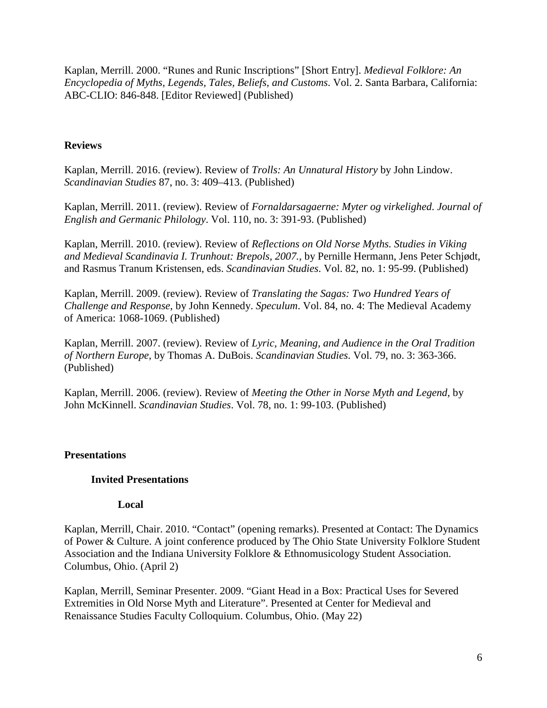Kaplan, Merrill. 2000. "Runes and Runic Inscriptions" [Short Entry]. *Medieval Folklore: An Encyclopedia of Myths, Legends, Tales, Beliefs, and Customs*. Vol. 2. Santa Barbara, California: ABC-CLIO: 846-848. [Editor Reviewed] (Published)

### **Reviews**

Kaplan, Merrill. 2016. (review). Review of *Trolls: An Unnatural History* by John Lindow. *Scandinavian Studies* 87, no. 3: 409–413. (Published)

Kaplan, Merrill. 2011. (review). Review of *Fornaldarsagaerne: Myter og virkelighed*. *Journal of English and Germanic Philology*. Vol. 110, no. 3: 391-93. (Published)

Kaplan, Merrill. 2010. (review). Review of *Reflections on Old Norse Myths. Studies in Viking and Medieval Scandinavia I. Trunhout: Brepols, 2007.*, by Pernille Hermann, Jens Peter Schjødt, and Rasmus Tranum Kristensen, eds. *Scandinavian Studies*. Vol. 82, no. 1: 95-99. (Published)

Kaplan, Merrill. 2009. (review). Review of *Translating the Sagas: Two Hundred Years of Challenge and Response*, by John Kennedy. *Speculum*. Vol. 84, no. 4: The Medieval Academy of America: 1068-1069. (Published)

Kaplan, Merrill. 2007. (review). Review of *Lyric, Meaning, and Audience in the Oral Tradition of Northern Europe*, by Thomas A. DuBois. *Scandinavian Studies*. Vol. 79, no. 3: 363-366. (Published)

Kaplan, Merrill. 2006. (review). Review of *Meeting the Other in Norse Myth and Legend*, by John McKinnell. *Scandinavian Studies*. Vol. 78, no. 1: 99-103. (Published)

## **Presentations**

#### **Invited Presentations**

#### **Local**

Kaplan, Merrill, Chair. 2010. "Contact" (opening remarks). Presented at Contact: The Dynamics of Power & Culture. A joint conference produced by The Ohio State University Folklore Student Association and the Indiana University Folklore & Ethnomusicology Student Association. Columbus, Ohio. (April 2)

Kaplan, Merrill, Seminar Presenter. 2009. "Giant Head in a Box: Practical Uses for Severed Extremities in Old Norse Myth and Literature". Presented at Center for Medieval and Renaissance Studies Faculty Colloquium. Columbus, Ohio. (May 22)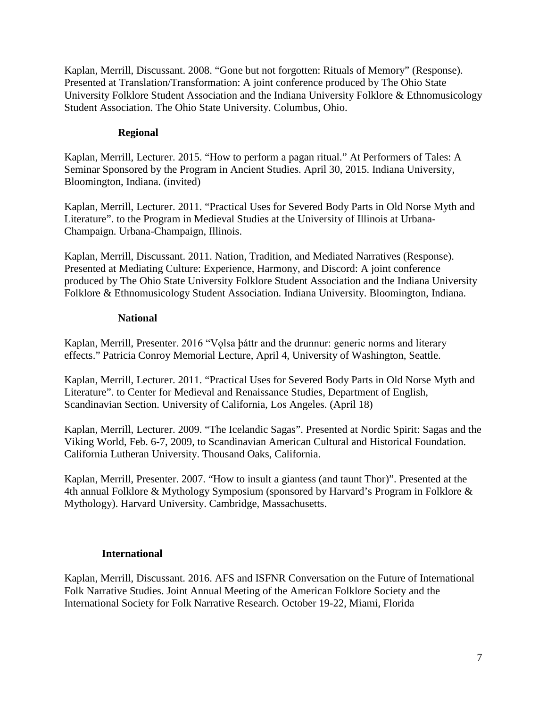Kaplan, Merrill, Discussant. 2008. "Gone but not forgotten: Rituals of Memory" (Response). Presented at Translation/Transformation: A joint conference produced by The Ohio State University Folklore Student Association and the Indiana University Folklore & Ethnomusicology Student Association. The Ohio State University. Columbus, Ohio.

# **Regional**

Kaplan, Merrill, Lecturer. 2015. "How to perform a pagan ritual." At Performers of Tales: A Seminar Sponsored by the Program in Ancient Studies. April 30, 2015. Indiana University, Bloomington, Indiana. (invited)

Kaplan, Merrill, Lecturer. 2011. "Practical Uses for Severed Body Parts in Old Norse Myth and Literature". to the Program in Medieval Studies at the University of Illinois at Urbana-Champaign. Urbana-Champaign, Illinois.

Kaplan, Merrill, Discussant. 2011. Nation, Tradition, and Mediated Narratives (Response). Presented at Mediating Culture: Experience, Harmony, and Discord: A joint conference produced by The Ohio State University Folklore Student Association and the Indiana University Folklore & Ethnomusicology Student Association. Indiana University. Bloomington, Indiana.

## **National**

Kaplan, Merrill, Presenter. 2016 "Volsa þáttr and the drunnur: generic norms and literary effects." Patricia Conroy Memorial Lecture, April 4, University of Washington, Seattle.

Kaplan, Merrill, Lecturer. 2011. "Practical Uses for Severed Body Parts in Old Norse Myth and Literature". to Center for Medieval and Renaissance Studies, Department of English, Scandinavian Section. University of California, Los Angeles. (April 18)

Kaplan, Merrill, Lecturer. 2009. "The Icelandic Sagas". Presented at Nordic Spirit: Sagas and the Viking World, Feb. 6-7, 2009, to Scandinavian American Cultural and Historical Foundation. California Lutheran University. Thousand Oaks, California.

Kaplan, Merrill, Presenter. 2007. "How to insult a giantess (and taunt Thor)". Presented at the 4th annual Folklore & Mythology Symposium (sponsored by Harvard's Program in Folklore & Mythology). Harvard University. Cambridge, Massachusetts.

## **International**

Kaplan, Merrill, Discussant. 2016. AFS and ISFNR Conversation on the Future of International Folk Narrative Studies. Joint Annual Meeting of the American Folklore Society and the International Society for Folk Narrative Research. October 19-22, Miami, Florida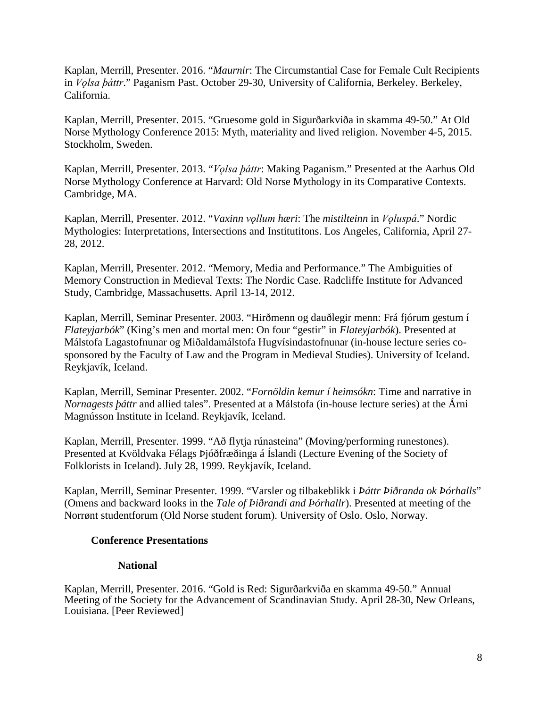Kaplan, Merrill, Presenter. 2016. "*Maurnir*: The Circumstantial Case for Female Cult Recipients in *Vǫlsa þáttr*." Paganism Past. October 29-30, University of California, Berkeley. Berkeley, California.

Kaplan, Merrill, Presenter. 2015. "Gruesome gold in Sigurðarkviða in skamma 49-50." At Old Norse Mythology Conference 2015: Myth, materiality and lived religion. November 4-5, 2015. Stockholm, Sweden.

Kaplan, Merrill, Presenter. 2013. "*Vǫlsa þáttr*: Making Paganism." Presented at the Aarhus Old Norse Mythology Conference at Harvard: Old Norse Mythology in its Comparative Contexts. Cambridge, MA.

Kaplan, Merrill, Presenter. 2012. "*Vaxinn vǫllum hæri*: The *mistilteinn* in *Vǫluspá*." Nordic Mythologies: Interpretations, Intersections and Institutitons. Los Angeles, California, April 27- 28, 2012.

Kaplan, Merrill, Presenter. 2012. "Memory, Media and Performance." The Ambiguities of Memory Construction in Medieval Texts: The Nordic Case. Radcliffe Institute for Advanced Study, Cambridge, Massachusetts. April 13-14, 2012.

Kaplan, Merrill, Seminar Presenter. 2003. "Hirðmenn og dauðlegir menn: Frá fjórum gestum í *Flateyjarbók*" (King's men and mortal men: On four "gestir" in *Flateyjarbók*). Presented at Málstofa Lagastofnunar og Miðaldamálstofa Hugvísindastofnunar (in-house lecture series cosponsored by the Faculty of Law and the Program in Medieval Studies). University of Iceland. Reykjavík, Iceland.

Kaplan, Merrill, Seminar Presenter. 2002. "*Fornöldin kemur í heimsókn*: Time and narrative in *Nornagests þáttr* and allied tales". Presented at a Málstofa (in-house lecture series) at the Árni Magnússon Institute in Iceland. Reykjavík, Iceland.

Kaplan, Merrill, Presenter. 1999. "Að flytja rúnasteina" (Moving/performing runestones). Presented at Kvöldvaka Félags Þjóðfræðinga á Íslandi (Lecture Evening of the Society of Folklorists in Iceland). July 28, 1999. Reykjavík, Iceland.

Kaplan, Merrill, Seminar Presenter. 1999. "Varsler og tilbakeblikk i *Þáttr Þiðranda ok Þórhalls*" (Omens and backward looks in the *Tale of Þiðrandi and Þórhallr*). Presented at meeting of the Norrønt studentforum (Old Norse student forum). University of Oslo. Oslo, Norway.

#### **Conference Presentations**

#### **National**

Kaplan, Merrill, Presenter. 2016. "Gold is Red: Sigurðarkviða en skamma 49-50." Annual Meeting of the Society for the Advancement of Scandinavian Study. April 28-30, New Orleans, Louisiana. [Peer Reviewed]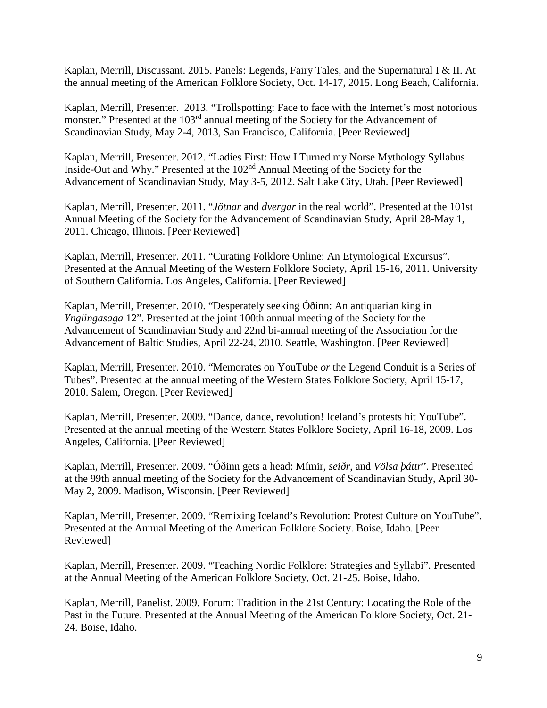Kaplan, Merrill, Discussant. 2015. Panels: Legends, Fairy Tales, and the Supernatural I & II. At the annual meeting of the American Folklore Society, Oct. 14-17, 2015. Long Beach, California.

Kaplan, Merrill, Presenter. 2013. "Trollspotting: Face to face with the Internet's most notorious monster." Presented at the 103<sup>rd</sup> annual meeting of the Society for the Advancement of Scandinavian Study, May 2-4, 2013, San Francisco, California. [Peer Reviewed]

Kaplan, Merrill, Presenter. 2012. "Ladies First: How I Turned my Norse Mythology Syllabus Inside-Out and Why." Presented at the 102nd Annual Meeting of the Society for the Advancement of Scandinavian Study, May 3-5, 2012. Salt Lake City, Utah. [Peer Reviewed]

Kaplan, Merrill, Presenter. 2011. "*Jötnar* and *dvergar* in the real world". Presented at the 101st Annual Meeting of the Society for the Advancement of Scandinavian Study, April 28-May 1, 2011. Chicago, Illinois. [Peer Reviewed]

Kaplan, Merrill, Presenter. 2011. "Curating Folklore Online: An Etymological Excursus". Presented at the Annual Meeting of the Western Folklore Society, April 15-16, 2011. University of Southern California. Los Angeles, California. [Peer Reviewed]

Kaplan, Merrill, Presenter. 2010. "Desperately seeking Óðinn: An antiquarian king in *Ynglingasaga* 12". Presented at the joint 100th annual meeting of the Society for the Advancement of Scandinavian Study and 22nd bi-annual meeting of the Association for the Advancement of Baltic Studies, April 22-24, 2010. Seattle, Washington. [Peer Reviewed]

Kaplan, Merrill, Presenter. 2010. "Memorates on YouTube *or* the Legend Conduit is a Series of Tubes". Presented at the annual meeting of the Western States Folklore Society, April 15-17, 2010. Salem, Oregon. [Peer Reviewed]

Kaplan, Merrill, Presenter. 2009. "Dance, dance, revolution! Iceland's protests hit YouTube". Presented at the annual meeting of the Western States Folklore Society, April 16-18, 2009. Los Angeles, California. [Peer Reviewed]

Kaplan, Merrill, Presenter. 2009. "Óðinn gets a head: Mímir, *seiðr*, and *Völsa þáttr*". Presented at the 99th annual meeting of the Society for the Advancement of Scandinavian Study, April 30- May 2, 2009. Madison, Wisconsin. [Peer Reviewed]

Kaplan, Merrill, Presenter. 2009. "Remixing Iceland's Revolution: Protest Culture on YouTube". Presented at the Annual Meeting of the American Folklore Society. Boise, Idaho. [Peer Reviewed]

Kaplan, Merrill, Presenter. 2009. "Teaching Nordic Folklore: Strategies and Syllabi". Presented at the Annual Meeting of the American Folklore Society, Oct. 21-25. Boise, Idaho.

Kaplan, Merrill, Panelist. 2009. Forum: Tradition in the 21st Century: Locating the Role of the Past in the Future. Presented at the Annual Meeting of the American Folklore Society, Oct. 21- 24. Boise, Idaho.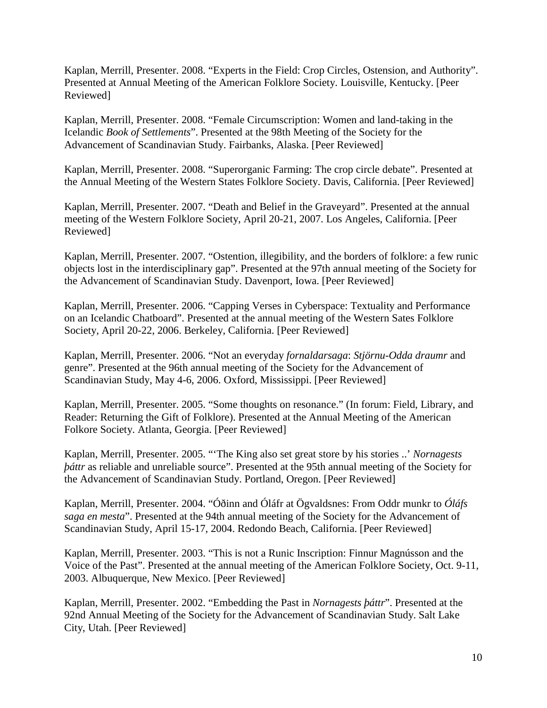Kaplan, Merrill, Presenter. 2008. "Experts in the Field: Crop Circles, Ostension, and Authority". Presented at Annual Meeting of the American Folklore Society. Louisville, Kentucky. [Peer Reviewed]

Kaplan, Merrill, Presenter. 2008. "Female Circumscription: Women and land-taking in the Icelandic *Book of Settlements*". Presented at the 98th Meeting of the Society for the Advancement of Scandinavian Study. Fairbanks, Alaska. [Peer Reviewed]

Kaplan, Merrill, Presenter. 2008. "Superorganic Farming: The crop circle debate". Presented at the Annual Meeting of the Western States Folklore Society. Davis, California. [Peer Reviewed]

Kaplan, Merrill, Presenter. 2007. "Death and Belief in the Graveyard". Presented at the annual meeting of the Western Folklore Society, April 20-21, 2007. Los Angeles, California. [Peer Reviewed]

Kaplan, Merrill, Presenter. 2007. "Ostention, illegibility, and the borders of folklore: a few runic objects lost in the interdisciplinary gap". Presented at the 97th annual meeting of the Society for the Advancement of Scandinavian Study. Davenport, Iowa. [Peer Reviewed]

Kaplan, Merrill, Presenter. 2006. "Capping Verses in Cyberspace: Textuality and Performance on an Icelandic Chatboard". Presented at the annual meeting of the Western Sates Folklore Society, April 20-22, 2006. Berkeley, California. [Peer Reviewed]

Kaplan, Merrill, Presenter. 2006. "Not an everyday *fornaldarsaga*: *Stjörnu-Odda draumr* and genre". Presented at the 96th annual meeting of the Society for the Advancement of Scandinavian Study, May 4-6, 2006. Oxford, Mississippi. [Peer Reviewed]

Kaplan, Merrill, Presenter. 2005. "Some thoughts on resonance." (In forum: Field, Library, and Reader: Returning the Gift of Folklore). Presented at the Annual Meeting of the American Folkore Society. Atlanta, Georgia. [Peer Reviewed]

Kaplan, Merrill, Presenter. 2005. "'The King also set great store by his stories ..' *Nornagests báttr* as reliable and unreliable source". Presented at the 95th annual meeting of the Society for the Advancement of Scandinavian Study. Portland, Oregon. [Peer Reviewed]

Kaplan, Merrill, Presenter. 2004. "Óðinn and Óláfr at Ögvaldsnes: From Oddr munkr to *Óláfs saga en mesta*". Presented at the 94th annual meeting of the Society for the Advancement of Scandinavian Study, April 15-17, 2004. Redondo Beach, California. [Peer Reviewed]

Kaplan, Merrill, Presenter. 2003. "This is not a Runic Inscription: Finnur Magnússon and the Voice of the Past". Presented at the annual meeting of the American Folklore Society, Oct. 9-11, 2003. Albuquerque, New Mexico. [Peer Reviewed]

Kaplan, Merrill, Presenter. 2002. "Embedding the Past in *Nornagests þáttr*". Presented at the 92nd Annual Meeting of the Society for the Advancement of Scandinavian Study. Salt Lake City, Utah. [Peer Reviewed]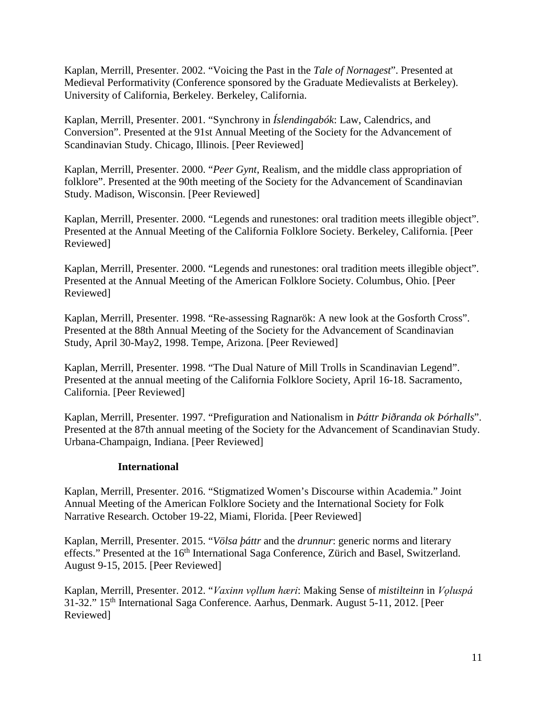Kaplan, Merrill, Presenter. 2002. "Voicing the Past in the *Tale of Nornagest*". Presented at Medieval Performativity (Conference sponsored by the Graduate Medievalists at Berkeley). University of California, Berkeley. Berkeley, California.

Kaplan, Merrill, Presenter. 2001. "Synchrony in *Íslendingabók*: Law, Calendrics, and Conversion". Presented at the 91st Annual Meeting of the Society for the Advancement of Scandinavian Study. Chicago, Illinois. [Peer Reviewed]

Kaplan, Merrill, Presenter. 2000. "*Peer Gynt*, Realism, and the middle class appropriation of folklore". Presented at the 90th meeting of the Society for the Advancement of Scandinavian Study. Madison, Wisconsin. [Peer Reviewed]

Kaplan, Merrill, Presenter. 2000. "Legends and runestones: oral tradition meets illegible object". Presented at the Annual Meeting of the California Folklore Society. Berkeley, California. [Peer Reviewed]

Kaplan, Merrill, Presenter. 2000. "Legends and runestones: oral tradition meets illegible object". Presented at the Annual Meeting of the American Folklore Society. Columbus, Ohio. [Peer Reviewed]

Kaplan, Merrill, Presenter. 1998. "Re-assessing Ragnarök: A new look at the Gosforth Cross". Presented at the 88th Annual Meeting of the Society for the Advancement of Scandinavian Study, April 30-May2, 1998. Tempe, Arizona. [Peer Reviewed]

Kaplan, Merrill, Presenter. 1998. "The Dual Nature of Mill Trolls in Scandinavian Legend". Presented at the annual meeting of the California Folklore Society, April 16-18. Sacramento, California. [Peer Reviewed]

Kaplan, Merrill, Presenter. 1997. "Prefiguration and Nationalism in *Þáttr Þiðranda ok Þórhalls*". Presented at the 87th annual meeting of the Society for the Advancement of Scandinavian Study. Urbana-Champaign, Indiana. [Peer Reviewed]

## **International**

Kaplan, Merrill, Presenter. 2016. "Stigmatized Women's Discourse within Academia." Joint Annual Meeting of the American Folklore Society and the International Society for Folk Narrative Research. October 19-22, Miami, Florida. [Peer Reviewed]

Kaplan, Merrill, Presenter. 2015. "*Völsa þáttr* and the *drunnur*: generic norms and literary effects." Presented at the 16<sup>th</sup> International Saga Conference, Zürich and Basel, Switzerland. August 9-15, 2015. [Peer Reviewed]

Kaplan, Merrill, Presenter. 2012. "*Vaxinn vǫllum hæri*: Making Sense of *mistilteinn* in *Vǫluspá* 31-32." 15th International Saga Conference. Aarhus, Denmark. August 5-11, 2012. [Peer Reviewed]